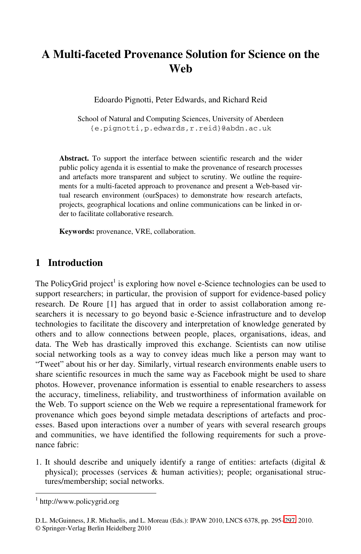## **A Multi-faceted Provenance Solution for Science on the Web**

Edoardo Pignotti, Peter Edwards, and Richard Reid

School of Natural and Computing Sciences, University of Aberdeen {e.pignotti,p.edwards,r.reid}@abdn.ac.uk

**Abstract.** To support the interface between scientific research and the wider public policy agenda it is essential to make the provenance of research processes and artefacts more transparent and subject to scrutiny. We outline the requirements for a multi-faceted approach to provenance and present a Web-based virtual research environment (ourSpaces) to demonstrate how research artefacts, projects, geographical locations and online communications can be linked in order to facilitate collaborative research.

**Keywords:** provenance, VRE, collaboration.

## **1 Introduction**

The PolicyGrid project<sup>1</sup> is exploring how novel e-Science technologies can be used to support researchers; in particular, the provision of support for evidence-based policy research. De Roure [1] has argued that in order to assist collaboration among researchers it is necessary to go beyond basic e-Science infrastructure and to develop technologies to facilitate the discovery and interpretation of knowledge generated by others and to allow connections between people, places, organisations, ideas, and data. The Web has drastically improved this exchange. Scientists can now utilise social networking tools as a way to convey ideas much like a person may want to "Tweet" about his or her day. Similarly, virtual research environments enable users to share scientific resources in much the same way as Facebook might be used to share photos. However, provenance information is essential to enable researchers to assess the accuracy, timeliness, reliability, and trustworthiness of information available on the Web. To support science on the Web we require a representational framework for provenance which goes beyond simple metadata descriptions of artefacts and processes. Based upon interactions over a number of years with several research groups and communities, we have identified the following [req](#page-2-0)uirements for such a provenance fabric:

1. It should describe and uniquely identify a range of entities: artefacts (digital & physical); processes (services & human activities); people; organisational structures/membership; social networks.

 1 http://www.policygrid.org

D.L. McGuinness, J.R. Michaelis, and L. Moreau (Eds.): IPAW 2010, LNCS 6378, pp. 295–297, 2010. © Springer-Verlag Berlin Heidelberg 2010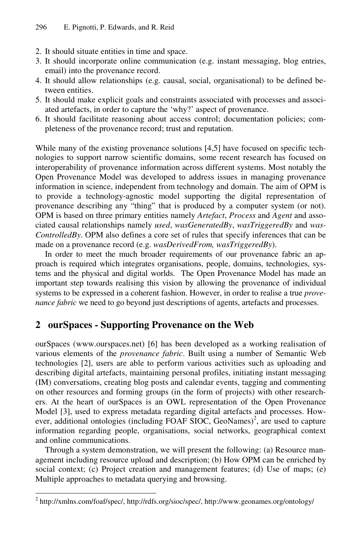- 2. It should situate entities in time and space.
- 3. It should incorporate online communication (e.g. instant messaging, blog entries, email) into the provenance record.
- 4. It should allow relationships (e.g. causal, social, organisational) to be defined between entities.
- 5. It should make explicit goals and constraints associated with processes and associated artefacts, in order to capture the 'why?' aspect of provenance.
- 6. It should facilitate reasoning about access control; documentation policies; completeness of the provenance record; trust and reputation.

While many of the existing provenance solutions [4,5] have focused on specific technologies to support narrow scientific domains, some recent research has focused on interoperability of provenance information across different systems. Most notably the Open Provenance Model was developed to address issues in managing provenance information in science, independent from technology and domain. The aim of OPM is to provide a technology-agnostic model supporting the digital representation of provenance describing any "thing" that is produced by a computer system (or not). OPM is based on three primary entities namely *Artefact*, *Process* and *Agent* and associated causal relationships namely *used*, *wasGeneratedBy*, *wasTriggeredBy* and *was-ControlledBy*. OPM also defines a core set of rules that specify inferences that can be made on a provenance record (e.g. *wasDerivedFrom, wasTriggeredBy*).

In order to meet the much broader requirements of our provenance fabric an approach is required which integrates organisations, people, domains, technologies, systems and the physical and digital worlds. The Open Provenance Model has made an important step towards realising this vision by allowing the provenance of individual systems to be expressed in a coherent fashion. However, in order to realise a true *provenance fabric* we need to go beyond just descriptions of agents, artefacts and processes.

## **2 ourSpaces - Supporting Provenance on the Web**

ourSpaces (www.ourspaces.net) [6] has been developed as a working realisation of various elements of the *provenance fabric*. Built using a number of Semantic Web technologies [2], users are able to perform various activities such as uploading and describing digital artefacts, maintaining personal profiles, initiating instant messaging (IM) conversations, creating blog posts and calendar events, tagging and commenting on other resources and forming groups (in the form of projects) with other researchers. At the heart of ourSpaces is an OWL representation of the Open Provenance Model [3], used to express metadata regarding digital artefacts and processes. However, additional ontologies (including FOAF SIOC, GeoNames)<sup>2</sup>, are used to capture information regarding people, organisations, social networks, geographical context and online communications.

Through a system demonstration, we will present the following: (a) Resource management including resource upload and description; (b) How OPM can be enriched by social context; (c) Project creation and management features; (d) Use of maps; (e) Multiple approaches to metadata querying and browsing.

-

<sup>&</sup>lt;sup>2</sup> http://xmlns.com/foaf/spec/, http://rdfs.org/sioc/spec/, http://www.geonames.org/ontology/